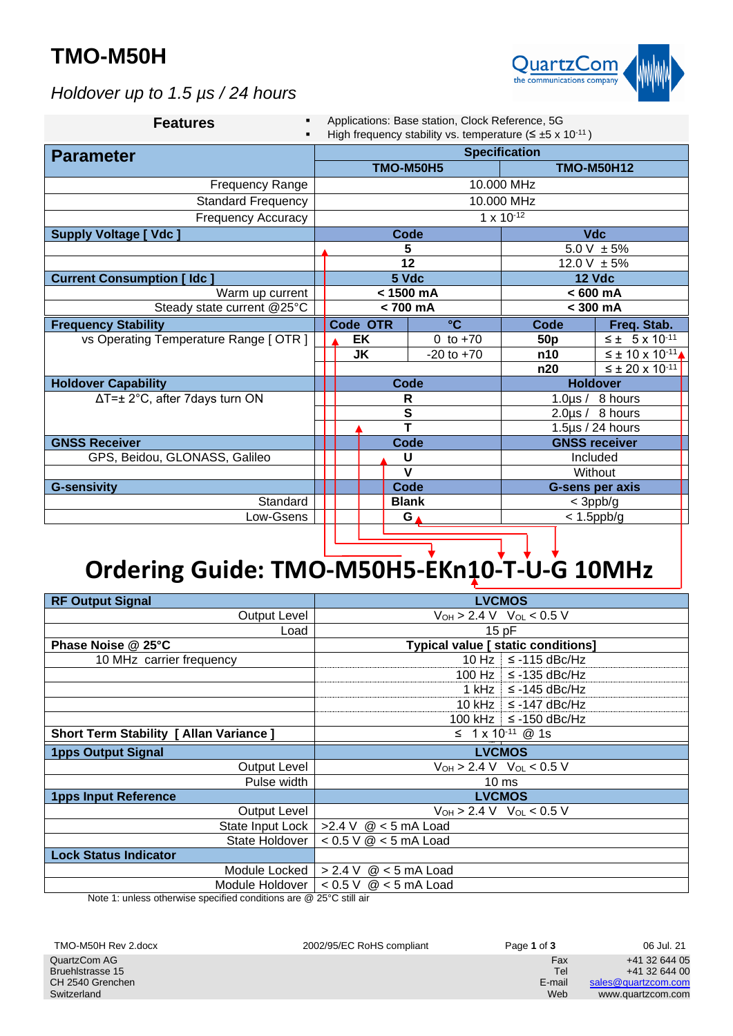## **TMO-M50H**



*Holdover up to 1.5 µs / 24 hours*

| Applications: Base station, Clock Reference, 5G<br>High frequency stability vs. temperature ( $\leq \pm 5 \times 10^{-11}$ ) |                      |                        |                       |                |                                                                                  |                                |                                                                                          |
|------------------------------------------------------------------------------------------------------------------------------|----------------------|------------------------|-----------------------|----------------|----------------------------------------------------------------------------------|--------------------------------|------------------------------------------------------------------------------------------|
|                                                                                                                              | <b>Specification</b> |                        |                       |                |                                                                                  |                                |                                                                                          |
|                                                                                                                              |                      |                        |                       |                |                                                                                  |                                |                                                                                          |
|                                                                                                                              |                      |                        |                       |                |                                                                                  |                                |                                                                                          |
| 10.000 MHz                                                                                                                   |                      |                        |                       |                |                                                                                  |                                |                                                                                          |
| <b>Standard Frequency</b><br>$1 \times 10^{-12}$<br><b>Frequency Accuracy</b>                                                |                      |                        |                       |                |                                                                                  |                                |                                                                                          |
|                                                                                                                              |                      |                        |                       |                | <b>Vdc</b>                                                                       |                                |                                                                                          |
|                                                                                                                              |                      |                        |                       |                |                                                                                  | $\frac{1}{5.0 \text{ V}}$ ± 5% |                                                                                          |
|                                                                                                                              |                      |                        |                       |                | 12.0 V $\pm$ 5%                                                                  |                                |                                                                                          |
|                                                                                                                              | 5 Vdc                |                        | <b>12 Vdc</b>         |                |                                                                                  |                                |                                                                                          |
| < 1500 mA<br>Warm up current                                                                                                 |                      | $< 600$ mA             |                       |                |                                                                                  |                                |                                                                                          |
| $< 700$ mA                                                                                                                   |                      | $<$ 300 mA             |                       |                |                                                                                  |                                |                                                                                          |
|                                                                                                                              |                      |                        | $\rm ^{\circ}C$       |                |                                                                                  | Freq. Stab.                    |                                                                                          |
|                                                                                                                              |                      |                        |                       | 0 to $+70$     | 50 <sub>p</sub>                                                                  |                                | $\leq \pm 5 \times 10^{-11}$                                                             |
|                                                                                                                              |                      |                        |                       | $-20$ to $+70$ | n10                                                                              |                                | $\overline{\leq}$ ± 10 x 10 <sup>-11</sup> $\triangle$                                   |
|                                                                                                                              |                      |                        |                       |                | n20                                                                              |                                | $≤ ± 20 × 10-11$                                                                         |
|                                                                                                                              |                      |                        |                       |                | <b>Holdover</b>                                                                  |                                |                                                                                          |
|                                                                                                                              | R                    |                        | 1.0 $\mu$ s / 8 hours |                |                                                                                  |                                |                                                                                          |
|                                                                                                                              |                      |                        |                       |                |                                                                                  |                                |                                                                                          |
|                                                                                                                              |                      |                        |                       |                |                                                                                  |                                |                                                                                          |
| <b>Code</b>                                                                                                                  |                      | <b>GNSS receiver</b>   |                       |                |                                                                                  |                                |                                                                                          |
|                                                                                                                              |                      |                        |                       |                |                                                                                  |                                |                                                                                          |
| $\mathbf v$<br>Without                                                                                                       |                      |                        |                       |                |                                                                                  |                                |                                                                                          |
| Code                                                                                                                         |                      | <b>G-sens per axis</b> |                       |                |                                                                                  |                                |                                                                                          |
| <b>Blank</b>                                                                                                                 |                      | $<$ 3ppb/g             |                       |                |                                                                                  |                                |                                                                                          |
|                                                                                                                              | $< 1.5$ ppb/g<br>G   |                        |                       |                |                                                                                  |                                |                                                                                          |
|                                                                                                                              |                      |                        | EK<br><b>JK</b>       | Code OTR       | <b>TMO-M50H5</b><br><b>Code</b><br>5<br>12<br><b>Code</b><br>${\bf S}$<br>Ŧ<br>U | 10.000 MHz                     | <b>TMO-M50H12</b><br>Code<br>$2.0 \mu s / 8$ hours<br>1.5 $\mu$ s / 24 hours<br>Included |

# **Ordering Guide: TMO-M50H5-EKn10-T-U-G 10MHz**

| <b>RF Output Signal</b>                        | <b>LVCMOS</b>                             |
|------------------------------------------------|-------------------------------------------|
| <b>Output Level</b>                            | $V_{OH} > 2.4 V$ $V_{OL} < 0.5 V$         |
| Load                                           | 15 pF                                     |
| Phase Noise @ 25°C                             | <b>Typical value [ static conditions]</b> |
| 10 MHz carrier frequency                       | 10 Hz $\le$ -115 dBc/Hz                   |
|                                                | 100 Hz $\le$ -135 dBc/Hz                  |
|                                                | 1 kHz $\le$ -145 dBc/Hz                   |
|                                                | 10 kHz $\le$ -147 dBc/Hz                  |
|                                                | 100 kHz $\le$ -150 dBc/Hz                 |
| <b>Short Term Stability [ Allan Variance ]</b> | $\leq$ 1 x 10 <sup>-11</sup> @ 1s         |
| <b>1pps Output Signal</b>                      | <b>LVCMOS</b>                             |
| <b>Output Level</b>                            | $V_{OH}$ > 2.4 V $V_{OL}$ < 0.5 V         |
| Pulse width                                    | 10 <sub>ms</sub>                          |
| <b>1pps Input Reference</b>                    | <b>LVCMOS</b>                             |
| Output Level                                   | $V_{OH}$ > 2.4 V $V_{OL}$ < 0.5 V         |
| State Input Lock                               | >2.4 V $@$ < 5 mA Load                    |
| State Holdover                                 | $< 0.5$ V $@ < 5$ mA Load                 |
| <b>Lock Status Indicator</b>                   |                                           |
| Module Locked                                  | > 2.4 V<br>$@$ < 5 mA Load                |
| Module Holdover                                | < 0.5 V<br>$@$ < 5 mA Load                |

Note 1: unless otherwise specified conditions are @ 25°C still air

| TMO-M50H Rev 2.docx | 2002/95/EC RoHS compliant | Page 1 of 3 | 06 Jul. 21          |
|---------------------|---------------------------|-------------|---------------------|
| QuartzCom AG        |                           | Fax         | +41 32 644 05       |
| Bruehlstrasse 15    |                           | Tel         | +41 32 644 00       |
| CH 2540 Grenchen    |                           | E-mail      | sales@guartzcom.com |
| Switzerland         |                           | Web         | www.quartzcom.com   |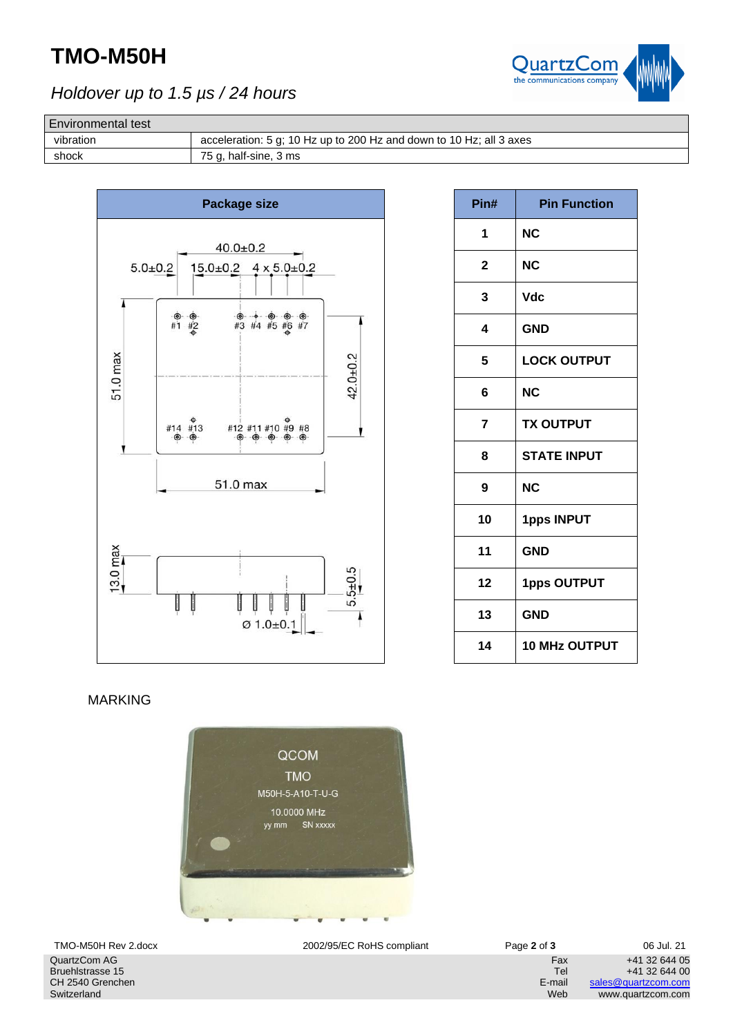## **TMO-M50H**



### *Holdover up to 1.5 µs / 24 hours*

#### Environmental test

vibration acceleration: 5 g; 10 Hz up to 200 Hz and down to 10 Hz; all 3 axes shock 75 g, half-sine, 3 ms



| Pin#                    | <b>Pin Function</b>  |
|-------------------------|----------------------|
| 1                       | <b>NC</b>            |
| $\overline{\mathbf{c}}$ | <b>NC</b>            |
| 3                       | <b>Vdc</b>           |
| 4                       | <b>GND</b>           |
| 5                       | <b>LOCK OUTPUT</b>   |
| 6                       | <b>NC</b>            |
| $\overline{7}$          | <b>TX OUTPUT</b>     |
| 8                       | <b>STATE INPUT</b>   |
| 9                       | <b>NC</b>            |
| 10                      | <b>1pps INPUT</b>    |
| 11                      | <b>GND</b>           |
| 12                      | <b>1pps OUTPUT</b>   |
| 13                      | <b>GND</b>           |
| 14                      | <b>10 MHz OUTPUT</b> |

#### MARKING



QuartzCom AG Bruehlstrasse 15 CH 2540 Grenchen Switzerland

TMO-M50H Rev 2.docx 2002/95/EC RoHS compliant Page **2** of **3** 06 Jul. 21

Fax +41 32 644 05<br>Tel +41 32 644 00 Tel +41 32 644 00<br>E-mail <u>sales@quartzcom.com</u> Frail [sales@quartzcom.com](mailto:sales@quartzcom.com)<br>Web www.quartzcom.com www.quartzcom.com